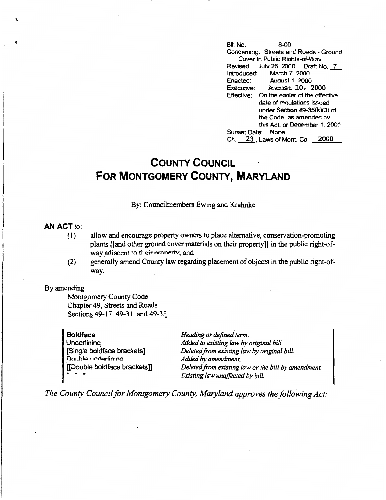**t Bill No.** 8-00 Concerning: Streets and Roads - Ground Cover In Public Riahts-of-Wav Revised: July 26. 2000 Draft No. 7<br>Introduced: March 7. 2000 Introduced: March 7, 2000<br>Enacted: August 1, 2000 Enacted: Aucust 1. 2000<br>Executive: Aucust 10. 2 Executive: Aucust 10. 2000 Effective: On the earlier of the effective date of reaulations issued under Section 49-35(k)(3) of the Code. as amended bv this Act: or December 1. 2000 Sunset Date: None Ch. 23 Laws of Mont. Co. 2000

## **COUNTY COUNCIL FOR MONTGOMERY COUNTY, MARYLAND**

By: Councilmembers Ewing and Krahnke

## **AN ACT** to:

\

- (1) allow and encourage property owners to place alternative, conservation-promoting plants ((and other ground cover materials on their property)] in the public right-ofway adiacent to their nronerty; and
- (2) generally amend County law regarding placement of objects in the public right-ofway.

## By amending

Montgomery County Code Chapter 49, Streets and Roads Sections 49-17. 49-31. and 49-35

**Boldface Underlining** [Single boldface brackets] Double underlining [[Double boldface brackets]] \* \* \*

*Heading or defined term. Added to existing law by original bill. Deleted.from existing law by original bill. Added by amendment. Deleted from existing law or the bill by amendment. Existing law unaffected by bill.* 

*The County Council for Montgomery County, Maryland approves the following Act:*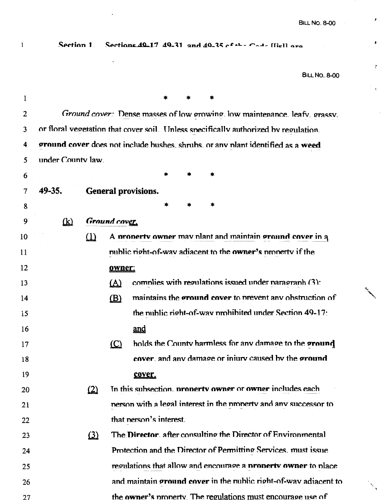$\pmb{r}$ 

 $\bullet$ 

 $\mathcal{E}$ 

ŧ.

 $\ddot{\phantom{a}}$ 

 $\mathbf 1$ 

Section 1. Sections 40-17 40-31 and 40-35 cf the Cade Hiell are

BILL **NO. 8-00** 

| 1  |                   |          |               | *                       |        |   |                                                                                     |
|----|-------------------|----------|---------------|-------------------------|--------|---|-------------------------------------------------------------------------------------|
| 2  |                   |          |               |                         |        |   | Ground cover: Dense masses of low growing. low maintenance, leafy, grassy.          |
| 3  |                   |          |               |                         |        |   | or floral vegetation that cover soil. Unless specifically authorized by regulation. |
| 4  |                   |          |               |                         |        |   | ground cover does not include bushes, shrubs, or any plant identified as a weed     |
| 5  | under County law. |          |               |                         |        |   |                                                                                     |
| 6  |                   |          |               | *                       | $\ast$ |   |                                                                                     |
| 7  | 49-35.            |          |               | General provisions.     |        |   |                                                                                     |
| 8  |                   |          |               | *                       | *      | * |                                                                                     |
| 9  | $\mathbf{R}$      |          | Ground cover. |                         |        |   |                                                                                     |
| 10 |                   | $\Omega$ |               |                         |        |   | A property owner may plant and maintain ground cover in a                           |
| 11 |                   |          |               |                         |        |   | public right-of-way adiacent to the <b>owner's</b> property if the                  |
| 12 |                   |          | owner:        |                         |        |   |                                                                                     |
| 13 |                   |          | $\Delta$      |                         |        |   | complies with regulations issued under paragraph (3):                               |
| 14 |                   |          | $\mathbf{B}$  |                         |        |   | maintains the ground cover to prevent any obstruction of                            |
| 15 |                   |          |               |                         |        |   | the nublic right-of-way prohibited under Section 49-17:                             |
| 16 |                   |          |               | and                     |        |   |                                                                                     |
| 17 |                   |          | $\circ$       |                         |        |   | holds the County harmless for any damage to the ground                              |
| 18 |                   |          |               |                         |        |   | cover, and any damage or injury caused by the ground                                |
| 19 |                   |          |               | cover.                  |        |   |                                                                                     |
| 20 |                   | (2)      |               |                         |        |   | In this subsection, property owner or owner includes each                           |
| 21 |                   |          |               |                         |        |   | nerson with a legal interest in the property and any successor to                   |
| 22 |                   |          |               | that person's interest. |        |   |                                                                                     |
| 23 |                   | $\Omega$ |               |                         |        |   | The Director, after consulting the Director of Environmental                        |
| 24 |                   |          |               |                         |        |   | Protection and the Director of Permitting Services, must issue                      |
| 25 |                   |          |               |                         |        |   | regulations that allow and encourage a <b>property owner</b> to place               |
| 26 |                   |          |               |                         |        |   | and maintain ground cover in the public right-of-way adiacent to                    |
| 27 |                   |          |               |                         |        |   | the owner's property. The regulations must encourage use of                         |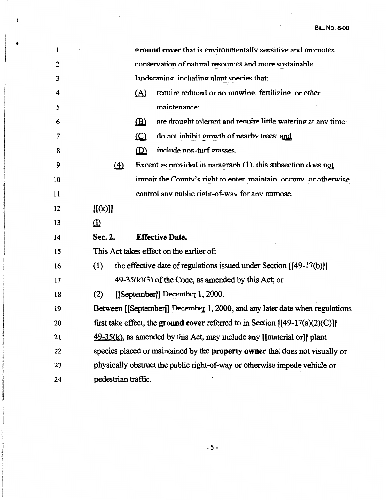$\ddot{\phantom{0}}$ 

Ŷ,

| 1  |          |                                                                                     | <b>ground cover</b> that is environmentally sensitive and promotes    |  |  |  |  |
|----|----------|-------------------------------------------------------------------------------------|-----------------------------------------------------------------------|--|--|--|--|
| 2  |          |                                                                                     | conservation of natural resources and more sustainable                |  |  |  |  |
| 3  |          |                                                                                     | landscaning, including plant species that:                            |  |  |  |  |
| 4  |          | <u>(A)</u>                                                                          | require reduced or no mowing. fertilizing, or other                   |  |  |  |  |
| 5  |          |                                                                                     | maintenance:                                                          |  |  |  |  |
| 6  |          | $\mathbf{B}$                                                                        | are drought tolerant and require little watering at any time:         |  |  |  |  |
| 7  |          | $\Omega$                                                                            | do not inhibit growth of nearby trees: and                            |  |  |  |  |
| 8  |          | (D)                                                                                 | include non-turf grasses.                                             |  |  |  |  |
| 9  | $\Delta$ |                                                                                     | Excent as provided in paragraph $(1)$ , this subsection does not      |  |  |  |  |
| 10 |          |                                                                                     | impair the County's right to enter, maintain, occupy, or otherwise    |  |  |  |  |
| 11 |          |                                                                                     | control any public right-of-way for any nurnose.                      |  |  |  |  |
| 12 | [[(k)]]  |                                                                                     |                                                                       |  |  |  |  |
| 13 | (1)      |                                                                                     |                                                                       |  |  |  |  |
| 14 | Sec. 2.  |                                                                                     | <b>Effective Date.</b>                                                |  |  |  |  |
| 15 |          | This Act takes effect on the earlier of:                                            |                                                                       |  |  |  |  |
| 16 | (1)      |                                                                                     | the effective date of regulations issued under Section $[[49-17(b)]]$ |  |  |  |  |
| 17 |          |                                                                                     | 49-35(k)(3) of the Code, as amended by this Act; or                   |  |  |  |  |
| 18 | (2)      | [[September]] December 1, 2000.                                                     |                                                                       |  |  |  |  |
| 19 |          | Between [[September]] December 1, 2000, and any later date when regulations         |                                                                       |  |  |  |  |
| 20 |          | first take effect, the ground cover referred to in Section $[149-17(a)(2)(C)]$      |                                                                       |  |  |  |  |
| 21 |          | $49-35(k)$ , as amended by this Act, may include any [[material or]] plant          |                                                                       |  |  |  |  |
| 22 |          | species placed or maintained by the <b>property owner</b> that does not visually or |                                                                       |  |  |  |  |
| 23 |          | physically obstruct the public right-of-way or otherwise impede vehicle or          |                                                                       |  |  |  |  |
| 24 |          | pedestrian traffic.                                                                 |                                                                       |  |  |  |  |

 $\frac{1}{2}$ 

 $\mathbf{t}$ 

 $\bullet$